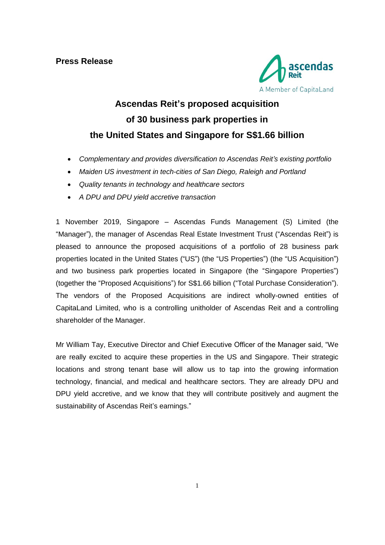

# **Ascendas Reit's proposed acquisition of 30 business park properties in the United States and Singapore for S\$1.66 billion**

- *Complementary and provides diversification to Ascendas Reit's existing portfolio*
- *Maiden US investment in tech-cities of San Diego, Raleigh and Portland*
- *Quality tenants in technology and healthcare sectors*
- *A DPU and DPU yield accretive transaction*

1 November 2019, Singapore *–* Ascendas Funds Management (S) Limited (the "Manager"), the manager of Ascendas Real Estate Investment Trust ("Ascendas Reit") is pleased to announce the proposed acquisitions of a portfolio of 28 business park properties located in the United States ("US") (the "US Properties") (the "US Acquisition") and two business park properties located in Singapore (the "Singapore Properties") (together the "Proposed Acquisitions") for S\$1.66 billion ("Total Purchase Consideration"). The vendors of the Proposed Acquisitions are indirect wholly-owned entities of CapitaLand Limited, who is a controlling unitholder of Ascendas Reit and a controlling shareholder of the Manager.

Mr William Tay, Executive Director and Chief Executive Officer of the Manager said, "We are really excited to acquire these properties in the US and Singapore. Their strategic locations and strong tenant base will allow us to tap into the growing information technology, financial, and medical and healthcare sectors. They are already DPU and DPU yield accretive, and we know that they will contribute positively and augment the sustainability of Ascendas Reit's earnings."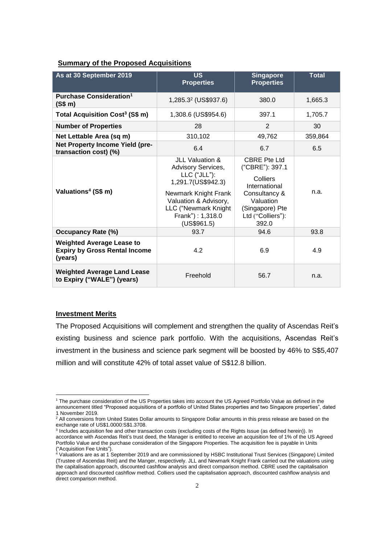# **Summary of the Proposed Acquisitions**

| As at 30 September 2019                                                             | <b>US</b><br><b>Properties</b>                                                                                                                                                             | <b>Singapore</b><br><b>Properties</b>                                                                                                              | <b>Total</b> |
|-------------------------------------------------------------------------------------|--------------------------------------------------------------------------------------------------------------------------------------------------------------------------------------------|----------------------------------------------------------------------------------------------------------------------------------------------------|--------------|
| Purchase Consideration <sup>1</sup><br>(S\$ m)                                      | 1,285.3 <sup>2</sup> (US\$937.6)                                                                                                                                                           | 380.0                                                                                                                                              | 1,665.3      |
| Total Acquisition Cost <sup>3</sup> (S\$ m)                                         | 1,308.6 (US\$954.6)                                                                                                                                                                        | 397.1                                                                                                                                              | 1,705.7      |
| <b>Number of Properties</b>                                                         | 28                                                                                                                                                                                         | 2                                                                                                                                                  | 30           |
| Net Lettable Area (sq m)                                                            | 310,102                                                                                                                                                                                    | 49,762                                                                                                                                             | 359,864      |
| Net Property Income Yield (pre-<br>transaction cost) (%)                            | 6.4                                                                                                                                                                                        | 6.7                                                                                                                                                | 6.5          |
| Valuations <sup>4</sup> (S\$ m)                                                     | JLL Valuation &<br>Advisory Services,<br>$LLC$ ("JLL"):<br>1,291.7(US\$942.3)<br>Newmark Knight Frank<br>Valuation & Advisory,<br>LLC ("Newmark Knight<br>Frank") : 1,318.0<br>(US\$961.5) | <b>CBRE</b> Pte Ltd<br>("CBRE"): 397.1<br>Colliers<br>International<br>Consultancy &<br>Valuation<br>(Singapore) Pte<br>Ltd ("Colliers"):<br>392.0 | n.a.         |
| <b>Occupancy Rate (%)</b>                                                           | 93.7                                                                                                                                                                                       | 94.6                                                                                                                                               | 93.8         |
| <b>Weighted Average Lease to</b><br><b>Expiry by Gross Rental Income</b><br>(years) | 4.2                                                                                                                                                                                        | 6.9                                                                                                                                                | 4.9          |
| <b>Weighted Average Land Lease</b><br>to Expiry ("WALE") (years)                    | Freehold                                                                                                                                                                                   | 56.7                                                                                                                                               | n.a.         |

#### **Investment Merits**

 $\overline{a}$ 

The Proposed Acquisitions will complement and strengthen the quality of Ascendas Reit's existing business and science park portfolio. With the acquisitions, Ascendas Reit's investment in the business and science park segment will be boosted by 46% to S\$5,407 million and will constitute 42% of total asset value of S\$12.8 billion.

<sup>1</sup> The purchase consideration of the US Properties takes into account the US Agreed Portfolio Value as defined in the announcement titled "Proposed acquisitions of a portfolio of United States properties and two Singapore properties", dated 1 November 2019.

<sup>&</sup>lt;sup>2</sup> All conversions from United States Dollar amounts to Singapore Dollar amounts in this press release are based on the exchange rate of US\$1.0000:S\$1.3708.

<sup>&</sup>lt;sup>3</sup> Includes acquisition fee and other transaction costs (excluding costs of the Rights Issue (as defined herein)). In accordance with Ascendas Reit's trust deed, the Manager is entitled to receive an acquisition fee of 1% of the US Agreed Portfolio Value and the purchase consideration of the Singapore Properties. The acquisition fee is payable in Units ("Acquisition Fee Units").

<sup>4</sup> Valuations are as at 1 September 2019 and are commissioned by HSBC Institutional Trust Services (Singapore) Limited (Trustee of Ascendas Reit) and the Manger, respectively. JLL and Newmark Knight Frank carried out the valuations using the capitalisation approach, discounted cashflow analysis and direct comparison method. CBRE used the capitalisation approach and discounted cashflow method. Colliers used the capitalisation approach, discounted cashflow analysis and direct comparison method.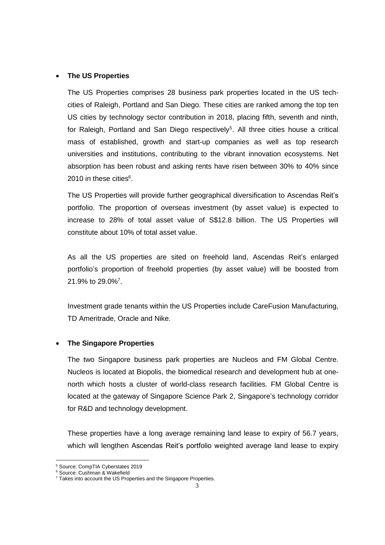## • **The US Properties**

The US Properties comprises 28 business park properties located in the US techcities of Raleigh, Portland and San Diego. These cities are ranked among the top ten US cities by technology sector contribution in 2018, placing fifth, seventh and ninth, for Raleigh, Portland and San Diego respectively<sup>5</sup>. All three cities house a critical mass of established, growth and start-up companies as well as top research universities and institutions, contributing to the vibrant innovation ecosystems. Net absorption has been robust and asking rents have risen between 30% to 40% since 2010 in these cities<sup>6</sup>.

The US Properties will provide further geographical diversification to Ascendas Reit's portfolio. The proportion of overseas investment (by asset value) is expected to increase to 28% of total asset value of S\$12.8 billion. The US Properties will constitute about 10% of total asset value.

As all the US properties are sited on freehold land, Ascendas Reit's enlarged portfolio's proportion of freehold properties (by asset value) will be boosted from 21.9% to 29.0%<sup>7</sup>.

Investment grade tenants within the US Properties include CareFusion Manufacturing, TD Ameritrade, Oracle and Nike.

## • **The Singapore Properties**

The two Singapore business park properties are Nucleos and FM Global Centre. Nucleos is located at Biopolis, the biomedical research and development hub at onenorth which hosts a cluster of world-class research facilities. FM Global Centre is located at the gateway of Singapore Science Park 2, Singapore's technology corridor for R&D and technology development.

These properties have a long average remaining land lease to expiry of 56.7 years, which will lengthen Ascendas Reit's portfolio weighted average land lease to expiry

 $\overline{a}$ 

<sup>5</sup> Source: CompTIA Cyberstates 2019

<sup>6</sup> Source: Cushman & Wakefield

 $7$  Takes into account the US Properties and the Singapore Properties.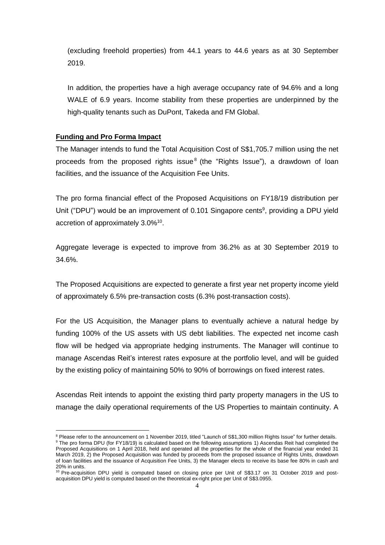(excluding freehold properties) from 44.1 years to 44.6 years as at 30 September 2019.

In addition, the properties have a high average occupancy rate of 94.6% and a long WALE of 6.9 years. Income stability from these properties are underpinned by the high-quality tenants such as DuPont, Takeda and FM Global.

## **Funding and Pro Forma Impact**

 $\overline{a}$ 

The Manager intends to fund the Total Acquisition Cost of S\$1,705.7 million using the net proceeds from the proposed rights issue<sup>8</sup> (the "Rights Issue"), a drawdown of loan facilities, and the issuance of the Acquisition Fee Units.

The pro forma financial effect of the Proposed Acquisitions on FY18/19 distribution per Unit ("DPU") would be an improvement of 0.101 Singapore cents<sup>9</sup>, providing a DPU yield accretion of approximately 3.0%<sup>10</sup>.

Aggregate leverage is expected to improve from 36.2% as at 30 September 2019 to 34.6%.

The Proposed Acquisitions are expected to generate a first year net property income yield of approximately 6.5% pre-transaction costs (6.3% post-transaction costs).

For the US Acquisition, the Manager plans to eventually achieve a natural hedge by funding 100% of the US assets with US debt liabilities. The expected net income cash flow will be hedged via appropriate hedging instruments. The Manager will continue to manage Ascendas Reit's interest rates exposure at the portfolio level, and will be guided by the existing policy of maintaining 50% to 90% of borrowings on fixed interest rates.

Ascendas Reit intends to appoint the existing third party property managers in the US to manage the daily operational requirements of the US Properties to maintain continuity. A

<sup>&</sup>lt;sup>8</sup> Please refer to the announcement on 1 November 2019, titled "Launch of S\$1,300 million Rights Issue" for further details. 9 The pro forma DPU (for FY18/19) is calculated based on the following assumptions 1) Ascendas Reit had completed the Proposed Acquisitions on 1 April 2018, held and operated all the properties for the whole of the financial year ended 31 March 2019, 2) the Proposed Acquisition was funded by proceeds from the proposed issuance of Rights Units, drawdown of loan facilities and the issuance of Acquisition Fee Units, 3) the Manager elects to receive its base fee 80% in cash and 20% in units.

<sup>&</sup>lt;sup>10</sup> Pre-acquisition DPU yield is computed based on closing price per Unit of S\$3.17 on 31 October 2019 and postacquisition DPU yield is computed based on the theoretical ex-right price per Unit of S\$3.0955.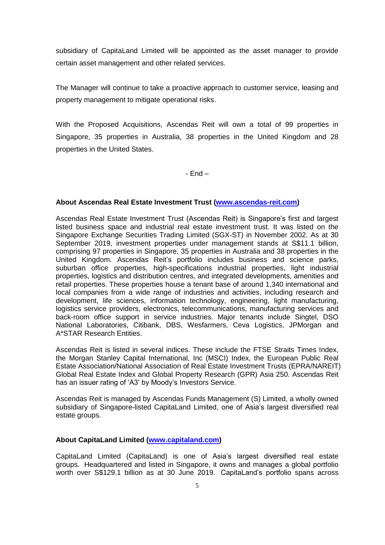subsidiary of CapitaLand Limited will be appointed as the asset manager to provide certain asset management and other related services.

The Manager will continue to take a proactive approach to customer service, leasing and property management to mitigate operational risks.

With the Proposed Acquisitions, Ascendas Reit will own a total of 99 properties in Singapore, 35 properties in Australia, 38 properties in the United Kingdom and 28 properties in the United States.

- End –

## **About Ascendas Real Estate Investment Trust [\(www.ascendas-reit.com\)](www.ascendas-reit.com)**

Ascendas Real Estate Investment Trust (Ascendas Reit) is Singapore's first and largest listed business space and industrial real estate investment trust. It was listed on the Singapore Exchange Securities Trading Limited (SGX-ST) in November 2002. As at 30 September 2019, investment properties under management stands at S\$11.1 billion, comprising 97 properties in Singapore, 35 properties in Australia and 38 properties in the United Kingdom. Ascendas Reit's portfolio includes business and science parks, suburban office properties, high-specifications industrial properties, light industrial properties, logistics and distribution centres, and integrated developments, amenities and retail properties. These properties house a tenant base of around 1,340 international and local companies from a wide range of industries and activities, including research and development, life sciences, information technology, engineering, light manufacturing, logistics service providers, electronics, telecommunications, manufacturing services and back-room office support in service industries. Major tenants include Singtel, DSO National Laboratories, Citibank, DBS, Wesfarmers, Ceva Logistics, JPMorgan and A\*STAR Research Entities.

Ascendas Reit is listed in several indices. These include the FTSE Straits Times Index, the Morgan Stanley Capital International, Inc (MSCI) Index, the European Public Real Estate Association/National Association of Real Estate Investment Trusts (EPRA/NAREIT) Global Real Estate Index and Global Property Research (GPR) Asia 250. Ascendas Reit has an issuer rating of 'A3' by Moody's Investors Service.

Ascendas Reit is managed by Ascendas Funds Management (S) Limited, a wholly owned subsidiary of Singapore-listed CapitaLand Limited, one of Asia's largest diversified real estate groups.

## **About CapitaLand Limited [\(www.capitaland.com\)](www.capitaland.com)**

CapitaLand Limited (CapitaLand) is one of Asia's largest diversified real estate groups. Headquartered and listed in Singapore, it owns and manages a global portfolio worth over S\$129.1 billion as at 30 June 2019. CapitaLand's portfolio spans across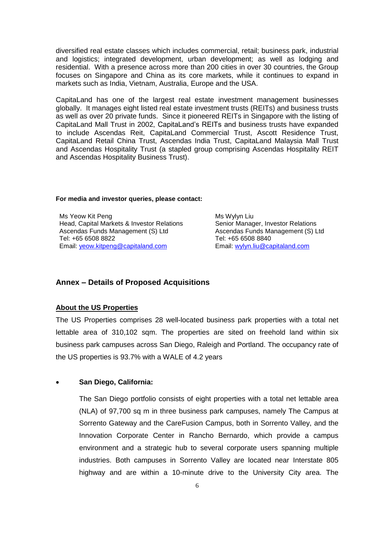diversified real estate classes which includes commercial, retail; business park, industrial and logistics; integrated development, urban development; as well as lodging and residential. With a presence across more than 200 cities in over 30 countries, the Group focuses on Singapore and China as its core markets, while it continues to expand in markets such as India, Vietnam, Australia, Europe and the USA.

CapitaLand has one of the largest real estate investment management businesses globally. It manages eight listed real estate investment trusts (REITs) and business trusts as well as over 20 private funds. Since it pioneered REITs in Singapore with the listing of CapitaLand Mall Trust in 2002, CapitaLand's REITs and business trusts have expanded to include Ascendas Reit, CapitaLand Commercial Trust, Ascott Residence Trust, CapitaLand Retail China Trust, Ascendas India Trust, CapitaLand Malaysia Mall Trust and Ascendas Hospitality Trust (a stapled group comprising Ascendas Hospitality REIT and Ascendas Hospitality Business Trust).

#### **For media and investor queries, please contact:**

Ms Yeow Kit Peng Head, Capital Markets & Investor Relations Ascendas Funds Management (S) Ltd Tel: +65 6508 8822 Email: [yeow.kitpeng@capitaland.com](mailto:yeow.kitpeng@capitaland.com)

Ms Wylyn Liu Senior Manager, Investor Relations Ascendas Funds Management (S) Ltd Tel: +65 6508 8840 Email: [wylyn.liu@capitaland.com](mailto:wylyn.liu@capitaland.com)

## **Annex – Details of Proposed Acquisitions**

## **About the US Properties**

The US Properties comprises 28 well-located business park properties with a total net lettable area of 310,102 sqm. The properties are sited on freehold land within six business park campuses across San Diego, Raleigh and Portland. The occupancy rate of the US properties is 93.7% with a WALE of 4.2 years

## • **San Diego, California:**

The San Diego portfolio consists of eight properties with a total net lettable area (NLA) of 97,700 sq m in three business park campuses, namely The Campus at Sorrento Gateway and the CareFusion Campus, both in Sorrento Valley, and the Innovation Corporate Center in Rancho Bernardo, which provide a campus environment and a strategic hub to several corporate users spanning multiple industries. Both campuses in Sorrento Valley are located near Interstate 805 highway and are within a 10-minute drive to the University City area. The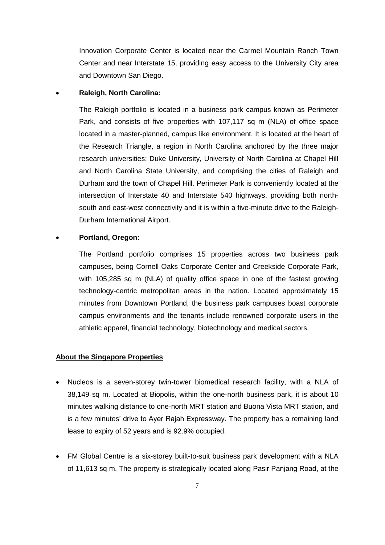Innovation Corporate Center is located near the Carmel Mountain Ranch Town Center and near Interstate 15, providing easy access to the University City area and Downtown San Diego.

#### • **Raleigh, North Carolina:**

The Raleigh portfolio is located in a business park campus known as Perimeter Park, and consists of five properties with 107,117 sq m (NLA) of office space located in a master-planned, campus like environment. It is located at the heart of the Research Triangle, a region in North Carolina anchored by the three major research universities: Duke University, University of North Carolina at Chapel Hill and North Carolina State University, and comprising the cities of Raleigh and Durham and the town of Chapel Hill. Perimeter Park is conveniently located at the intersection of Interstate 40 and Interstate 540 highways, providing both northsouth and east-west connectivity and it is within a five-minute drive to the Raleigh-Durham International Airport.

## • **Portland, Oregon:**

The Portland portfolio comprises 15 properties across two business park campuses, being Cornell Oaks Corporate Center and Creekside Corporate Park, with 105,285 sq m (NLA) of quality office space in one of the fastest growing technology-centric metropolitan areas in the nation. Located approximately 15 minutes from Downtown Portland, the business park campuses boast corporate campus environments and the tenants include renowned corporate users in the athletic apparel, financial technology, biotechnology and medical sectors.

## **About the Singapore Properties**

- Nucleos is a seven-storey twin-tower biomedical research facility, with a NLA of 38,149 sq m. Located at Biopolis, within the one-north business park, it is about 10 minutes walking distance to one-north MRT station and Buona Vista MRT station, and is a few minutes' drive to Ayer Rajah Expressway. The property has a remaining land lease to expiry of 52 years and is 92.9% occupied.
- FM Global Centre is a six-storey built-to-suit business park development with a NLA of 11,613 sq m. The property is strategically located along Pasir Panjang Road, at the